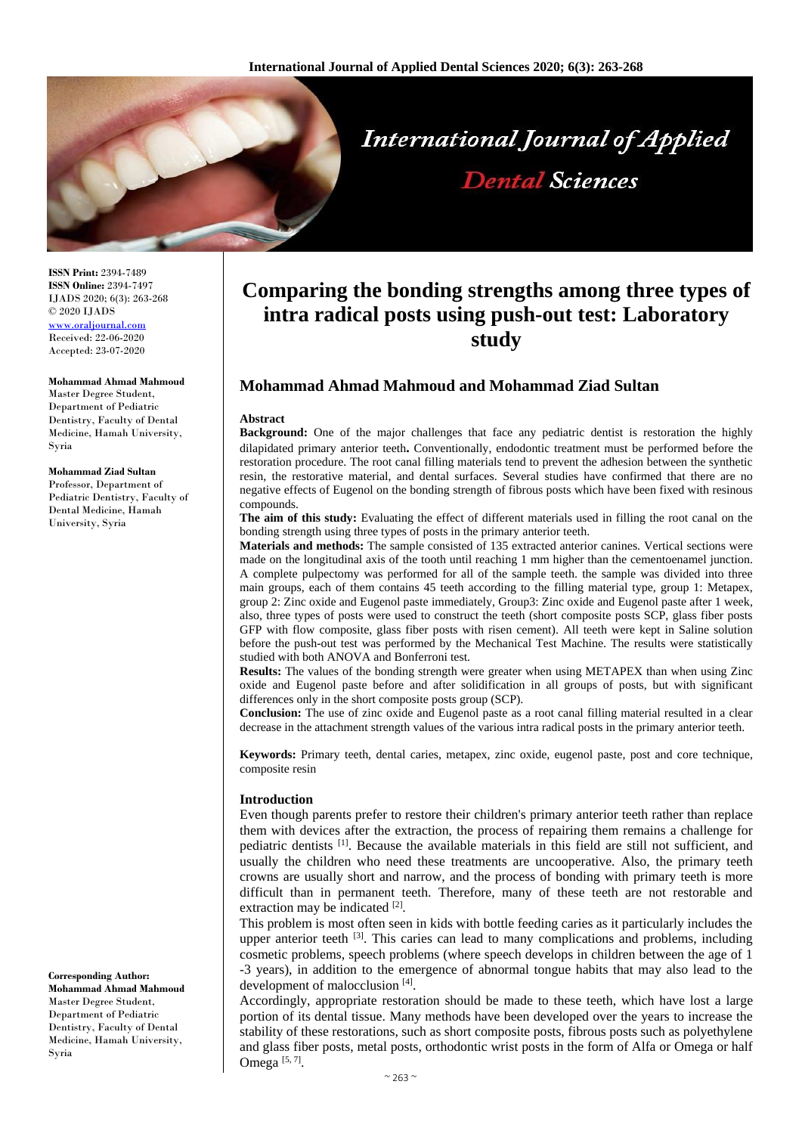

**ISSN Print:** 2394-7489 **ISSN Online:** 2394-7497 IJADS 2020; 6(3): 263-268 © 2020 IJADS [www.oraljournal.com](http://www.oraljournal.com/) Received: 22-06-2020 Accepted: 23-07-2020

#### **Mohammad Ahmad Mahmoud**

Master Degree Student, Department of Pediatric Dentistry, Faculty of Dental Medicine, Hamah University, Syria

### **Mohammad Ziad Sultan**

Professor, Department of Pediatric Dentistry, Faculty of Dental Medicine, Hamah University, Syria

**Corresponding Author: Mohammad Ahmad Mahmoud** Master Degree Student, Department of Pediatric Dentistry, Faculty of Dental Medicine, Hamah University, Syria

# **Comparing the bonding strengths among three types of intra radical posts using push-out test: Laboratory study**

## **Mohammad Ahmad Mahmoud and Mohammad Ziad Sultan**

#### **Abstract**

**Background:** One of the major challenges that face any pediatric dentist is restoration the highly dilapidated primary anterior teeth**.** Conventionally, endodontic treatment must be performed before the restoration procedure. The root canal filling materials tend to prevent the adhesion between the synthetic resin, the restorative material, and dental surfaces. Several studies have confirmed that there are no negative effects of Eugenol on the bonding strength of fibrous posts which have been fixed with resinous compounds.

**The aim of this study:** Evaluating the effect of different materials used in filling the root canal on the bonding strength using three types of posts in the primary anterior teeth.

**Materials and methods:** The sample consisted of 135 extracted anterior canines. Vertical sections were made on the longitudinal axis of the tooth until reaching 1 mm higher than the cementoenamel junction. A complete pulpectomy was performed for all of the sample teeth. the sample was divided into three main groups, each of them contains 45 teeth according to the filling material type, group 1: Metapex, group 2: Zinc oxide and Eugenol paste immediately, Group3: Zinc oxide and Eugenol paste after 1 week, also, three types of posts were used to construct the teeth (short composite posts SCP, glass fiber posts GFP with flow composite, glass fiber posts with risen cement). All teeth were kept in Saline solution before the push-out test was performed by the Mechanical Test Machine. The results were statistically studied with both ANOVA and Bonferroni test.

**Results:** The values of the bonding strength were greater when using METAPEX than when using Zinc oxide and Eugenol paste before and after solidification in all groups of posts, but with significant differences only in the short composite posts group (SCP).

**Conclusion:** The use of zinc oxide and Eugenol paste as a root canal filling material resulted in a clear decrease in the attachment strength values of the various intra radical posts in the primary anterior teeth.

**Keywords:** Primary teeth, dental caries, metapex, zinc oxide, eugenol paste, post and core technique, composite resin

## **Introduction**

Even though parents prefer to restore their children's primary anterior teeth rather than replace them with devices after the extraction, the process of repairing them remains a challenge for pediatric dentists [1]. Because the available materials in this field are still not sufficient, and usually the children who need these treatments are uncooperative. Also, the primary teeth crowns are usually short and narrow, and the process of bonding with primary teeth is more difficult than in permanent teeth. Therefore, many of these teeth are not restorable and extraction may be indicated [2].

This problem is most often seen in kids with bottle feeding caries as it particularly includes the upper anterior teeth <sup>[3]</sup>. This caries can lead to many complications and problems, including cosmetic problems, speech problems (where speech develops in children between the age of 1 -3 years), in addition to the emergence of abnormal tongue habits that may also lead to the development of malocclusion [4].

Accordingly, appropriate restoration should be made to these teeth, which have lost a large portion of its dental tissue. Many methods have been developed over the years to increase the stability of these restorations, such as short composite posts, fibrous posts such as polyethylene and glass fiber posts, metal posts, orthodontic wrist posts in the form of Alfa or Omega or half Omega  $[5, 7]$ .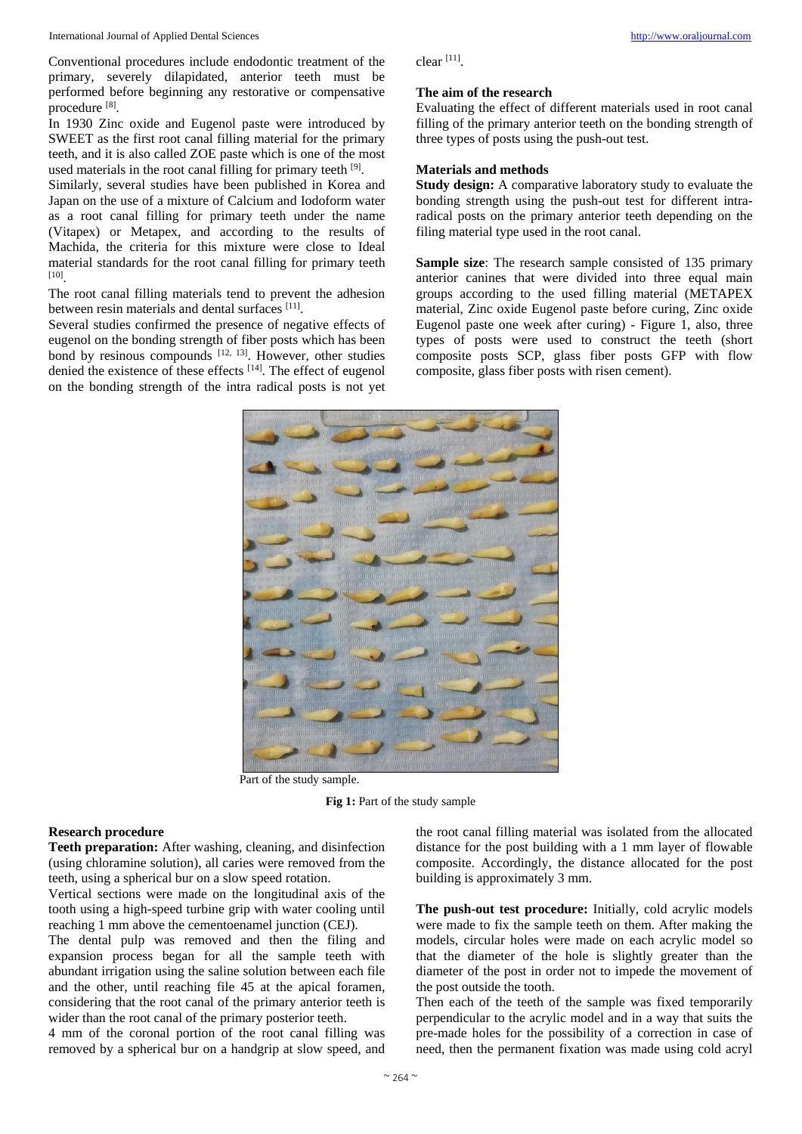Conventional procedures include endodontic treatment of the primary, severely dilapidated, anterior teeth must be performed before beginning any restorative or compensative procedure [8].

In 1930 Zinc oxide and Eugenol paste were introduced by SWEET as the first root canal filling material for the primary teeth, and it is also called ZOE paste which is one of the most used materials in the root canal filling for primary teeth [9].

Similarly, several studies have been published in Korea and Japan on the use of a mixture of Calcium and Iodoform water as a root canal filling for primary teeth under the name (Vitapex) or Metapex, and according to the results of Machida, the criteria for this mixture were close to Ideal material standards for the root canal filling for primary teeth [10] .

The root canal filling materials tend to prevent the adhesion between resin materials and dental surfaces [11].

Several studies confirmed the presence of negative effects of eugenol on the bonding strength of fiber posts which has been bond by resinous compounds  $[12, 13]$ . However, other studies denied the existence of these effects [14]. The effect of eugenol on the bonding strength of the intra radical posts is not yet

### **The aim of the research**

Evaluating the effect of different materials used in root canal filling of the primary anterior teeth on the bonding strength of three types of posts using the push-out test.

## **Materials and methods**

**Study design:** A comparative laboratory study to evaluate the bonding strength using the push-out test for different intraradical posts on the primary anterior teeth depending on the filing material type used in the root canal.

**Sample size**: The research sample consisted of 135 primary anterior canines that were divided into three equal main groups according to the used filling material (METAPEX material, Zinc oxide Eugenol paste before curing, Zinc oxide Eugenol paste one week after curing) - Figure 1, also, three types of posts were used to construct the teeth (short composite posts SCP, glass fiber posts GFP with flow composite, glass fiber posts with risen cement).



Part of the study sample.

**Fig 1:** Part of the study sample

## **Research procedure**

**Teeth preparation:** After washing, cleaning, and disinfection (using chloramine solution), all caries were removed from the teeth, using a spherical bur on a slow speed rotation.

Vertical sections were made on the longitudinal axis of the tooth using a high-speed turbine grip with water cooling until reaching 1 mm above the cementoenamel junction (CEJ).

The dental pulp was removed and then the filing and expansion process began for all the sample teeth with abundant irrigation using the saline solution between each file and the other, until reaching file 45 at the apical foramen, considering that the root canal of the primary anterior teeth is wider than the root canal of the primary posterior teeth.

4 mm of the coronal portion of the root canal filling was removed by a spherical bur on a handgrip at slow speed, and

the root canal filling material was isolated from the allocated distance for the post building with a 1 mm layer of flowable composite. Accordingly, the distance allocated for the post building is approximately 3 mm.

**The push-out test procedure:** Initially, cold acrylic models were made to fix the sample teeth on them. After making the models, circular holes were made on each acrylic model so that the diameter of the hole is slightly greater than the diameter of the post in order not to impede the movement of the post outside the tooth.

Then each of the teeth of the sample was fixed temporarily perpendicular to the acrylic model and in a way that suits the pre-made holes for the possibility of a correction in case of need, then the permanent fixation was made using cold acryl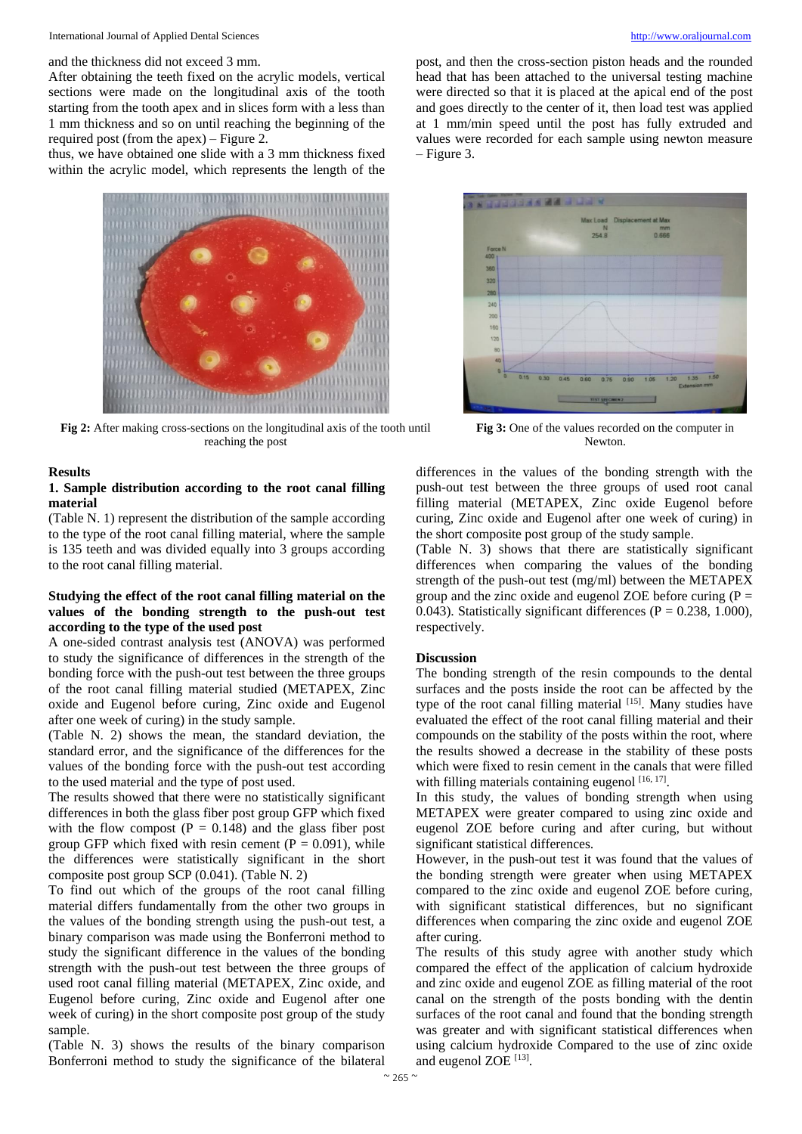and the thickness did not exceed 3 mm.

After obtaining the teeth fixed on the acrylic models, vertical sections were made on the longitudinal axis of the tooth starting from the tooth apex and in slices form with a less than 1 mm thickness and so on until reaching the beginning of the required post (from the apex) – Figure 2.

thus, we have obtained one slide with a 3 mm thickness fixed within the acrylic model, which represents the length of the



**Fig 2:** After making cross-sections on the longitudinal axis of the tooth until reaching the post

#### **Results**

## **1. Sample distribution according to the root canal filling material**

(Table N. 1) represent the distribution of the sample according to the type of the root canal filling material, where the sample is 135 teeth and was divided equally into 3 groups according to the root canal filling material.

## **Studying the effect of the root canal filling material on the values of the bonding strength to the push-out test according to the type of the used post**

A one-sided contrast analysis test (ANOVA) was performed to study the significance of differences in the strength of the bonding force with the push-out test between the three groups of the root canal filling material studied (METAPEX, Zinc oxide and Eugenol before curing, Zinc oxide and Eugenol after one week of curing) in the study sample.

(Table N. 2) shows the mean, the standard deviation, the standard error, and the significance of the differences for the values of the bonding force with the push-out test according to the used material and the type of post used.

The results showed that there were no statistically significant differences in both the glass fiber post group GFP which fixed with the flow compost  $(P = 0.148)$  and the glass fiber post group GFP which fixed with resin cement ( $P = 0.091$ ), while the differences were statistically significant in the short composite post group SCP (0.041). (Table N. 2)

To find out which of the groups of the root canal filling material differs fundamentally from the other two groups in the values of the bonding strength using the push-out test, a binary comparison was made using the Bonferroni method to study the significant difference in the values of the bonding strength with the push-out test between the three groups of used root canal filling material (METAPEX, Zinc oxide, and Eugenol before curing, Zinc oxide and Eugenol after one week of curing) in the short composite post group of the study sample.

(Table N. 3) shows the results of the binary comparison Bonferroni method to study the significance of the bilateral

post, and then the cross-section piston heads and the rounded head that has been attached to the universal testing machine were directed so that it is placed at the apical end of the post and goes directly to the center of it, then load test was applied at 1 mm/min speed until the post has fully extruded and values were recorded for each sample using newton measure – Figure 3.



**Fig 3:** One of the values recorded on the computer in Newton.

differences in the values of the bonding strength with the push-out test between the three groups of used root canal filling material (METAPEX, Zinc oxide Eugenol before curing, Zinc oxide and Eugenol after one week of curing) in the short composite post group of the study sample.

(Table N. 3) shows that there are statistically significant differences when comparing the values of the bonding strength of the push-out test (mg/ml) between the METAPEX group and the zinc oxide and eugenol ZOE before curing  $(P =$ 0.043). Statistically significant differences ( $P = 0.238, 1.000$ ), respectively.

## **Discussion**

The bonding strength of the resin compounds to the dental surfaces and the posts inside the root can be affected by the type of the root canal filling material [15]. Many studies have evaluated the effect of the root canal filling material and their compounds on the stability of the posts within the root, where the results showed a decrease in the stability of these posts which were fixed to resin cement in the canals that were filled with filling materials containing eugenol  $[16, 17]$ .

In this study, the values of bonding strength when using METAPEX were greater compared to using zinc oxide and eugenol ZOE before curing and after curing, but without significant statistical differences.

However, in the push-out test it was found that the values of the bonding strength were greater when using METAPEX compared to the zinc oxide and eugenol ZOE before curing, with significant statistical differences, but no significant differences when comparing the zinc oxide and eugenol ZOE after curing.

The results of this study agree with another study which compared the effect of the application of calcium hydroxide and zinc oxide and eugenol ZOE as filling material of the root canal on the strength of the posts bonding with the dentin surfaces of the root canal and found that the bonding strength was greater and with significant statistical differences when using calcium hydroxide Compared to the use of zinc oxide and eugenol ZOE<sup>[13]</sup>.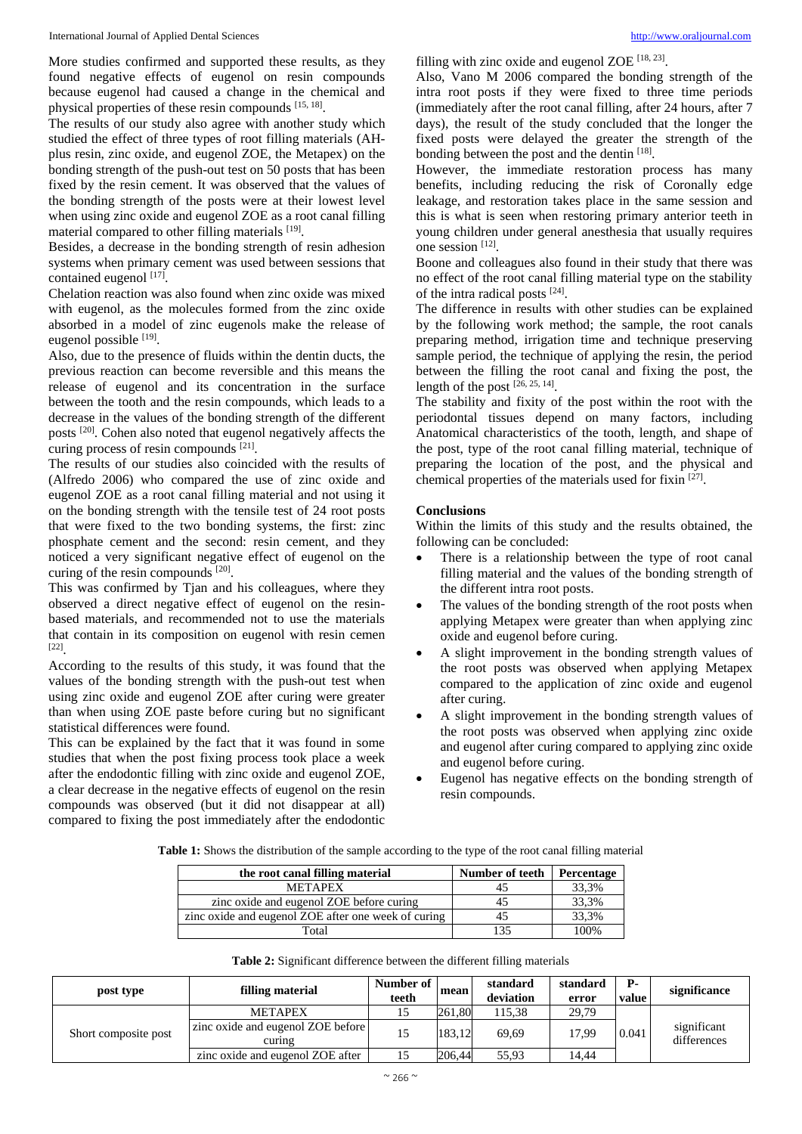More studies confirmed and supported these results, as they found negative effects of eugenol on resin compounds because eugenol had caused a change in the chemical and physical properties of these resin compounds [15, 18].

The results of our study also agree with another study which studied the effect of three types of root filling materials (AHplus resin, zinc oxide, and eugenol ZOE, the Metapex) on the bonding strength of the push-out test on 50 posts that has been fixed by the resin cement. It was observed that the values of the bonding strength of the posts were at their lowest level when using zinc oxide and eugenol ZOE as a root canal filling material compared to other filling materials [19].

Besides, a decrease in the bonding strength of resin adhesion systems when primary cement was used between sessions that contained eugenol [17].

Chelation reaction was also found when zinc oxide was mixed with eugenol, as the molecules formed from the zinc oxide absorbed in a model of zinc eugenols make the release of eugenol possible [19].

Also, due to the presence of fluids within the dentin ducts, the previous reaction can become reversible and this means the release of eugenol and its concentration in the surface between the tooth and the resin compounds, which leads to a decrease in the values of the bonding strength of the different posts<sup>[20]</sup>. Cohen also noted that eugenol negatively affects the curing process of resin compounds [21].

The results of our studies also coincided with the results of (Alfredo 2006) who compared the use of zinc oxide and eugenol ZOE as a root canal filling material and not using it on the bonding strength with the tensile test of 24 root posts that were fixed to the two bonding systems, the first: zinc phosphate cement and the second: resin cement, and they noticed a very significant negative effect of eugenol on the curing of the resin compounds  $^{[20]}$ .

This was confirmed by Tjan and his colleagues, where they observed a direct negative effect of eugenol on the resinbased materials, and recommended not to use the materials that contain in its composition on eugenol with resin cemen [22] .

According to the results of this study, it was found that the values of the bonding strength with the push-out test when using zinc oxide and eugenol ZOE after curing were greater than when using ZOE paste before curing but no significant statistical differences were found.

This can be explained by the fact that it was found in some studies that when the post fixing process took place a week after the endodontic filling with zinc oxide and eugenol ZOE, a clear decrease in the negative effects of eugenol on the resin compounds was observed (but it did not disappear at all) compared to fixing the post immediately after the endodontic

filling with zinc oxide and eugenol ZOE  $[18, 23]$ .

Also, Vano M 2006 compared the bonding strength of the intra root posts if they were fixed to three time periods (immediately after the root canal filling, after 24 hours, after 7 days), the result of the study concluded that the longer the fixed posts were delayed the greater the strength of the bonding between the post and the dentin [18].

However, the immediate restoration process has many benefits, including reducing the risk of Coronally edge leakage, and restoration takes place in the same session and this is what is seen when restoring primary anterior teeth in young children under general anesthesia that usually requires one session [12] .

Boone and colleagues also found in their study that there was no effect of the root canal filling material type on the stability of the intra radical posts [24] .

The difference in results with other studies can be explained by the following work method; the sample, the root canals preparing method, irrigation time and technique preserving sample period, the technique of applying the resin, the period between the filling the root canal and fixing the post, the length of the post  $[26, 25, 14]$ .

The stability and fixity of the post within the root with the periodontal tissues depend on many factors, including Anatomical characteristics of the tooth, length, and shape of the post, type of the root canal filling material, technique of preparing the location of the post, and the physical and chemical properties of the materials used for fixin [27].

## **Conclusions**

Within the limits of this study and the results obtained, the following can be concluded:

- There is a relationship between the type of root canal filling material and the values of the bonding strength of the different intra root posts.
- The values of the bonding strength of the root posts when applying Metapex were greater than when applying zinc oxide and eugenol before curing.
- A slight improvement in the bonding strength values of the root posts was observed when applying Metapex compared to the application of zinc oxide and eugenol after curing.
- A slight improvement in the bonding strength values of the root posts was observed when applying zinc oxide and eugenol after curing compared to applying zinc oxide and eugenol before curing.
- Eugenol has negative effects on the bonding strength of resin compounds.

**Table 1:** Shows the distribution of the sample according to the type of the root canal filling material

| the root canal filling material                     | Number of teeth | Percentage |  |  |
|-----------------------------------------------------|-----------------|------------|--|--|
| <b>METAPEX</b>                                      |                 | 33,3%      |  |  |
| zinc oxide and eugenol ZOE before curing            | 45              | 33,3%      |  |  |
| zinc oxide and eugenol ZOE after one week of curing | 45              | 33,3%      |  |  |
| Total                                               | 135             | 100%       |  |  |

| post type            | filling material                            | Number of<br>teeth | mean   | standard<br>deviation | standard<br>error | <b>P-</b><br>value | significance               |
|----------------------|---------------------------------------------|--------------------|--------|-----------------------|-------------------|--------------------|----------------------------|
| Short composite post | <b>METAPEX</b>                              |                    | 261.80 | 115.38                | 29,79             |                    |                            |
|                      | zinc oxide and eugenol ZOE before<br>curing |                    | 183.12 | 69.69                 | 17.99             | 0.041              | significant<br>differences |
|                      | zinc oxide and eugenol ZOE after            |                    | 206,44 | 55,93                 | 14.44             |                    |                            |

**Table 2:** Significant difference between the different filling materials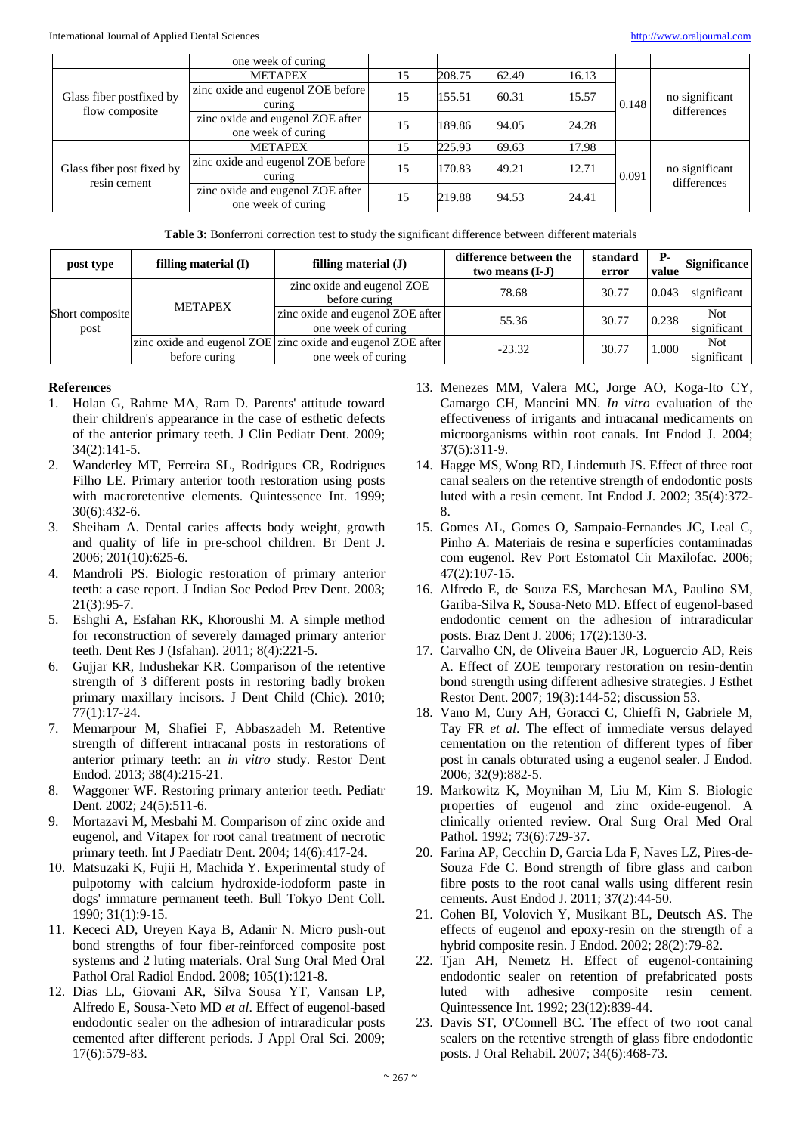|                                            | one week of curing                                     |    |        |       |       |       |                               |  |
|--------------------------------------------|--------------------------------------------------------|----|--------|-------|-------|-------|-------------------------------|--|
| Glass fiber postfixed by<br>flow composite | <b>METAPEX</b>                                         | 15 | 208.75 | 62.49 | 16.13 |       |                               |  |
|                                            | zinc oxide and eugenol ZOE before<br>curing            | 15 | 155.51 | 60.31 | 15.57 | 0.148 | no significant<br>differences |  |
|                                            | zinc oxide and eugenol ZOE after<br>one week of curing | 15 | 189.86 | 94.05 | 24.28 |       |                               |  |
| Glass fiber post fixed by<br>resin cement  | <b>METAPEX</b>                                         | 15 | 225.93 | 69.63 | 17.98 |       | no significant<br>differences |  |
|                                            | zinc oxide and eugenol ZOE before<br>curing            | 15 | 170.83 | 49.21 | 12.71 | 0.091 |                               |  |
|                                            | zinc oxide and eugenol ZOE after<br>one week of curing | 15 | 219.88 | 94.53 | 24.41 |       |                               |  |

**Table 3:** Bonferroni correction test to study the significant difference between different materials

| post type               | filling material $(I)$ | filling material $(J)$                                                            | difference between the<br>two means $(I-J)$ | standard<br>error | <b>P</b> -<br>value | Significance              |
|-------------------------|------------------------|-----------------------------------------------------------------------------------|---------------------------------------------|-------------------|---------------------|---------------------------|
| Short composite<br>post | <b>METAPEX</b>         | zinc oxide and eugenol ZOE<br>before curing                                       | 78.68                                       | 30.77             | 0.043               | significant               |
|                         |                        | zinc oxide and eugenol ZOE after<br>one week of curing                            | 55.36                                       | 30.77             | 0.238               | <b>Not</b><br>significant |
|                         | before curing          | zinc oxide and eugenol ZOE zinc oxide and eugenol ZOE after<br>one week of curing | $-23.32$                                    | 30.77             | 1.000               | <b>Not</b><br>significant |

## **References**

- 1. Holan G, Rahme MA, Ram D. Parents' attitude toward their children's appearance in the case of esthetic defects of the anterior primary teeth. J Clin Pediatr Dent. 2009; 34(2):141-5.
- 2. Wanderley MT, Ferreira SL, Rodrigues CR, Rodrigues Filho LE. Primary anterior tooth restoration using posts with macroretentive elements. Quintessence Int. 1999;  $30(6) \cdot 432 - 6$
- 3. Sheiham A. Dental caries affects body weight, growth and quality of life in pre-school children. Br Dent J. 2006; 201(10):625-6.
- 4. Mandroli PS. Biologic restoration of primary anterior teeth: a case report. J Indian Soc Pedod Prev Dent. 2003; 21(3):95-7.
- 5. Eshghi A, Esfahan RK, Khoroushi M. A simple method for reconstruction of severely damaged primary anterior teeth. Dent Res J (Isfahan). 2011; 8(4):221-5.
- 6. Gujjar KR, Indushekar KR. Comparison of the retentive strength of 3 different posts in restoring badly broken primary maxillary incisors. J Dent Child (Chic). 2010; 77(1):17-24.
- 7. Memarpour M, Shafiei F, Abbaszadeh M. Retentive strength of different intracanal posts in restorations of anterior primary teeth: an *in vitro* study. Restor Dent Endod. 2013; 38(4):215-21.
- 8. Waggoner WF. Restoring primary anterior teeth. Pediatr Dent. 2002; 24(5):511-6.
- 9. Mortazavi M, Mesbahi M. Comparison of zinc oxide and eugenol, and Vitapex for root canal treatment of necrotic primary teeth. Int J Paediatr Dent. 2004; 14(6):417-24.
- 10. Matsuzaki K, Fujii H, Machida Y. Experimental study of pulpotomy with calcium hydroxide-iodoform paste in dogs' immature permanent teeth. Bull Tokyo Dent Coll. 1990; 31(1):9-15.
- 11. Kececi AD, Ureyen Kaya B, Adanir N. Micro push-out bond strengths of four fiber-reinforced composite post systems and 2 luting materials. Oral Surg Oral Med Oral Pathol Oral Radiol Endod. 2008; 105(1):121-8.
- 12. Dias LL, Giovani AR, Silva Sousa YT, Vansan LP, Alfredo E, Sousa-Neto MD *et al*. Effect of eugenol-based endodontic sealer on the adhesion of intraradicular posts cemented after different periods. J Appl Oral Sci. 2009; 17(6):579-83.
- 13. Menezes MM, Valera MC, Jorge AO, Koga-Ito CY, Camargo CH, Mancini MN. *In vitro* evaluation of the effectiveness of irrigants and intracanal medicaments on microorganisms within root canals. Int Endod J. 2004; 37(5):311-9.
- 14. Hagge MS, Wong RD, Lindemuth JS. Effect of three root canal sealers on the retentive strength of endodontic posts luted with a resin cement. Int Endod J. 2002; 35(4):372- 8.
- 15. Gomes AL, Gomes O, Sampaio-Fernandes JC, Leal C, Pinho A. Materiais de resina e superfícies contaminadas com eugenol. Rev Port Estomatol Cir Maxilofac. 2006; 47(2):107-15.
- 16. Alfredo E, de Souza ES, Marchesan MA, Paulino SM, Gariba-Silva R, Sousa-Neto MD. Effect of eugenol-based endodontic cement on the adhesion of intraradicular posts. Braz Dent J. 2006; 17(2):130-3.
- 17. Carvalho CN, de Oliveira Bauer JR, Loguercio AD, Reis A. Effect of ZOE temporary restoration on resin-dentin bond strength using different adhesive strategies. J Esthet Restor Dent. 2007; 19(3):144-52; discussion 53.
- 18. Vano M, Cury AH, Goracci C, Chieffi N, Gabriele M, Tay FR *et al*. The effect of immediate versus delayed cementation on the retention of different types of fiber post in canals obturated using a eugenol sealer. J Endod. 2006; 32(9):882-5.
- 19. Markowitz K, Moynihan M, Liu M, Kim S. Biologic properties of eugenol and zinc oxide-eugenol. A clinically oriented review. Oral Surg Oral Med Oral Pathol. 1992; 73(6):729-37.
- 20. Farina AP, Cecchin D, Garcia Lda F, Naves LZ, Pires-de-Souza Fde C. Bond strength of fibre glass and carbon fibre posts to the root canal walls using different resin cements. Aust Endod J. 2011; 37(2):44-50.
- 21. Cohen BI, Volovich Y, Musikant BL, Deutsch AS. The effects of eugenol and epoxy-resin on the strength of a hybrid composite resin. J Endod. 2002; 28(2):79-82.
- 22. Tjan AH, Nemetz H. Effect of eugenol-containing endodontic sealer on retention of prefabricated posts luted with adhesive composite resin cement. Quintessence Int. 1992; 23(12):839-44.
- 23. Davis ST, O'Connell BC. The effect of two root canal sealers on the retentive strength of glass fibre endodontic posts. J Oral Rehabil. 2007; 34(6):468-73.